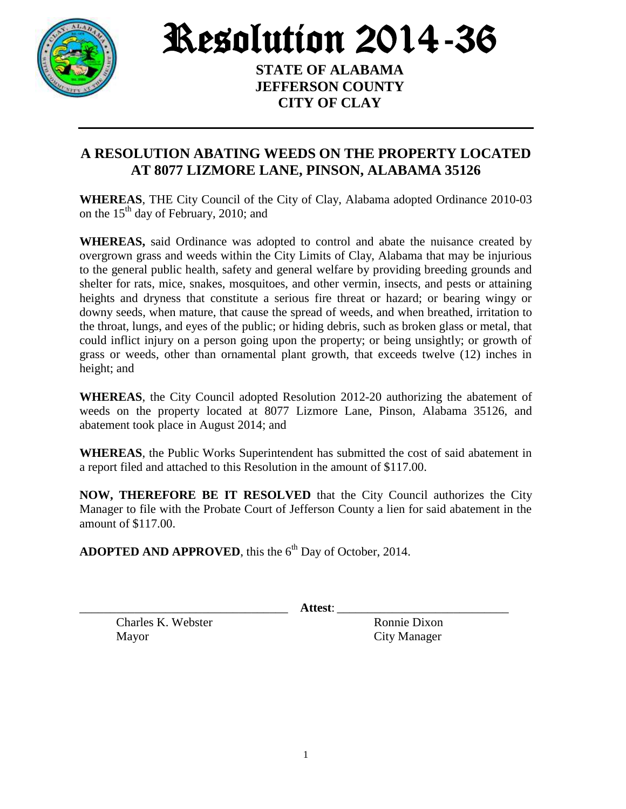

Resolution 2014-36

**STATE OF ALABAMA JEFFERSON COUNTY CITY OF CLAY**

## **A RESOLUTION ABATING WEEDS ON THE PROPERTY LOCATED AT 8077 LIZMORE LANE, PINSON, ALABAMA 35126**

**WHEREAS**, THE City Council of the City of Clay, Alabama adopted Ordinance 2010-03 on the 15<sup>th</sup> day of February, 2010; and

**WHEREAS,** said Ordinance was adopted to control and abate the nuisance created by overgrown grass and weeds within the City Limits of Clay, Alabama that may be injurious to the general public health, safety and general welfare by providing breeding grounds and shelter for rats, mice, snakes, mosquitoes, and other vermin, insects, and pests or attaining heights and dryness that constitute a serious fire threat or hazard; or bearing wingy or downy seeds, when mature, that cause the spread of weeds, and when breathed, irritation to the throat, lungs, and eyes of the public; or hiding debris, such as broken glass or metal, that could inflict injury on a person going upon the property; or being unsightly; or growth of grass or weeds, other than ornamental plant growth, that exceeds twelve (12) inches in height; and

**WHEREAS**, the City Council adopted Resolution 2012-20 authorizing the abatement of weeds on the property located at 8077 Lizmore Lane, Pinson, Alabama 35126, and abatement took place in August 2014; and

**WHEREAS**, the Public Works Superintendent has submitted the cost of said abatement in a report filed and attached to this Resolution in the amount of \$117.00.

**NOW, THEREFORE BE IT RESOLVED** that the City Council authorizes the City Manager to file with the Probate Court of Jefferson County a lien for said abatement in the amount of \$117.00.

ADOPTED AND APPROVED, this the 6<sup>th</sup> Day of October, 2014.

\_\_\_\_\_\_\_\_\_\_\_\_\_\_\_\_\_\_\_\_\_\_\_\_\_\_\_\_\_\_\_\_\_\_ **Attest**: \_\_\_\_\_\_\_\_\_\_\_\_\_\_\_\_\_\_\_\_\_\_\_\_\_\_\_\_

Charles K. Webster Ronnie Dixon Mayor City Manager